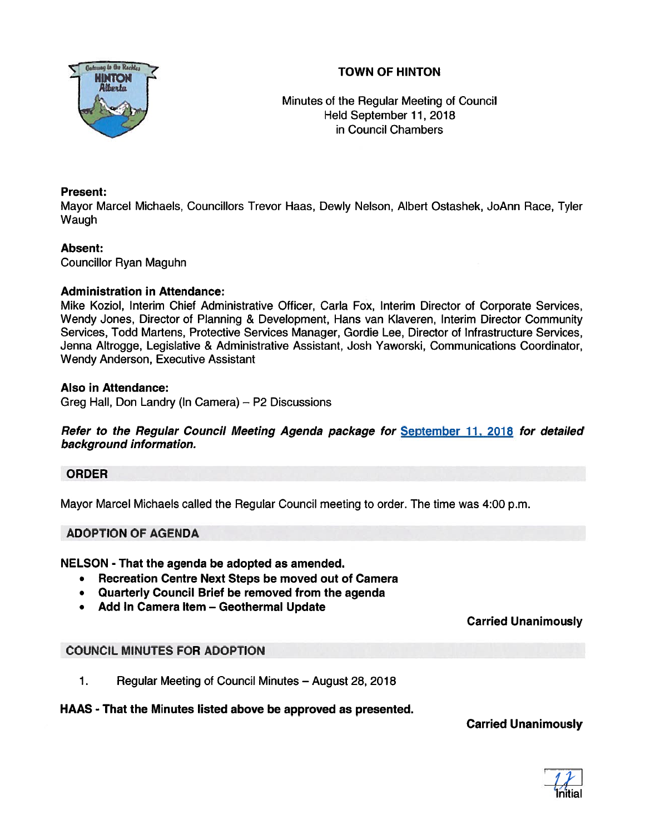



Minutes of the Regular Meeting of Council Held September11, 2018 in Council Chambers

### Present:

Mayor Marcel Michaels, Councillors Trevor Haas, Dewly Nelson, Albert Ostashek, JoAnn Race, Tyler Waugh

### Absent:

Councillor Ryan Maguhn

### Administration in Attendance:

Mike Koziol, Interim Chief Administrative Officer, Carla Fox, Interim Director of Corporate Services, Wendy Jones, Director of Planning & Development, Hans van Klaveren, Interim Director Community Services, Todd Martens, Protective Services Manager, Gordie Lee, Director of Infrastructure Services, Jenna Altrogge, Legislative & Administrative Assistant, Josh Yaworski, Communications Coordinator, Wendy Anderson, Executive Assistant

### Also in Attendance:

Greg Hall, Don Landry (In Camera) — P2 Discussions

Refer to the Regular Council Meeting Agenda package for September 11, 2018 for detailed background information.

### ORDER

Mayor Marcel Michaels called the Regular Council meeting to order. The time was 4:00 p.m.

### ADOPTION OF AGENDA

NELSON - That the agenda be adopted as amended.

- Recreation Centre Next Steps be moved out of Camera
- Quarterly Council Brief be removed from the agenda
- Add In Camera Item Geothermal Update

### Carried Unanimously

## COUNCIL MINUTES FOR ADOPTION

1. Regular Meeting of Council Minutes — August 28, 2018

### HAAS - That the Minutes listed above be approved as presented.

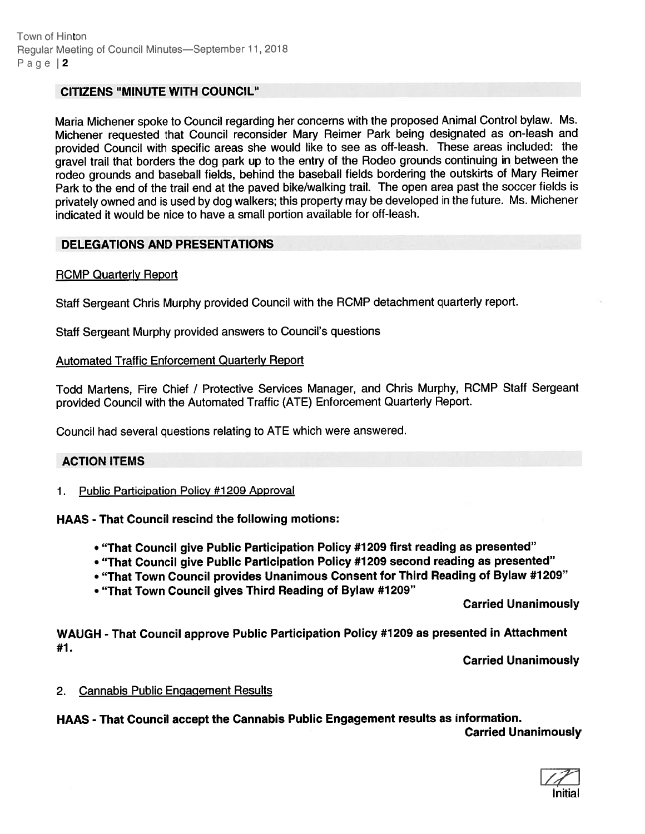### CITIZENS "MINUTE WITH COUNCIL"

Maria Michener spoke to Council regarding her concerns with the propose<sup>d</sup> Animal Control bylaw. Ms. Michener requested that Council reconsider Mary Reimer Park being designated as on-leash and provided Council with specific areas she would like to see as off-leash. These areas included: the grave<sup>l</sup> trail that borders the dog par<sup>k</sup> up to the entry of the Rodeo grounds continuing in between the rodeo grounds and baseball fields, behind the baseball fields bordering the outskirts of Mary Reimer Park to the end of the trail end at the pave<sup>d</sup> bike/walking trail. The open area pas<sup>t</sup> the soccer fields is privately owned and is used by dog walkers; this property may be developed in the future. Ms. Michener indicated it would be nice to have <sup>a</sup> small portion available for off-leash.

### DELEGATIONS AND PRESENTATIONS

### ROMP Quarterly Report

Staff Sergeant Chris Murphy provided Council with the ROMP detachment quarterly report.

Staff Sergeant Murphy provided answers to Council's questions

#### Automated Traffic Enforcement Quarterly Report

Todd Martens, Fire Chief / Protective Services Manager, and Chris Murphy, ROMP Staff Sergeant provided Council with the Automated Traffic (ATE) Enforcement Quarterly Report.

Council had several questions relating to ATE which were answered.

#### ACTION ITEMS

1. Public Participation Policy #1209 Approval

HAAS - That Council rescind the following motions:

- "That Council <sup>g</sup>ive Public Participation Policy #1 <sup>209</sup> first reading as presented"
- "That Council <sup>g</sup>ive Public Participation Policy #1209 second reading as presented"
- "That Town Council provides Unanimous Consent for Third Reading of Bylaw #1209"
- "That Town Council gives Third Reading of Bylaw #1209"

Carried Unanimously

WAUGH - That Council approve Public Participation Policy #1209 as presented in Attachment #7.

Carried Unanimously

2. Cannabis Public Engagement Results

HAAS - That Council accep<sup>t</sup> the Cannabis Public Engagement results as information. Carried Unanimously

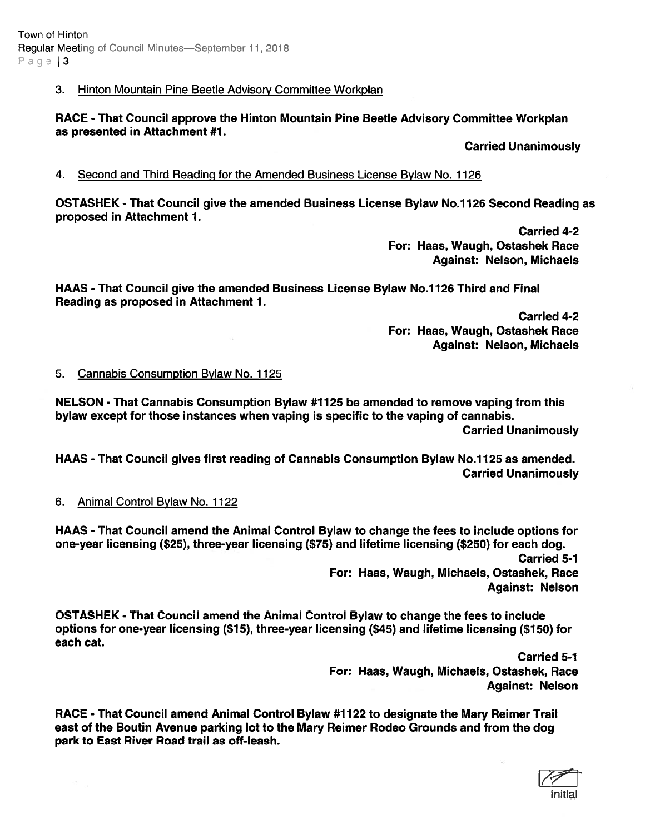### 3. Hinton Mountain Pine Beetle Advisory Committee Workplan

RACE - That Council approve the Hinton Mountain Pine Beetle Advisory Committee Workplan as presented in Attachment #1.

Carried Unanimously

#### 4. Second and Third Reading for the Amended Business License Bylaw No. 1126

OSTASHEK - That Council give the amended Business License Bylaw No.1126 Second Reading as proposed in Attachment 1.

> Carried 4-2 For: Haas, Waugh, Ostashek Race Against: Nelson, Michaels

HAAS - That Council give the amended Business License Bylaw No.1126 Third and Final Reading as proposed in Attachment 1.

> Carried 4-2 For: Haas, Waugh, Ostashek Race Against: Nelson, Michaels

#### 5. Cannabis Consumption Bylaw No. 1125

NELSON - That Cannabis Consumption Bylaw #1125 be amended to remove vaping from this bylaw excep<sup>t</sup> for those instances when vaping is specific to the vaping of cannabis. Carried Unanimously

HAAS - That Council gives first reading of Cannabis Consumption Bylaw No.1125 as amended. Carried Unanimously

6. Animal Control Bylaw No. 1122

HAAS - That Council amend the Animal Control Bylaw to change the fees to include options for one-year licensing (\$25), three-year licensing (\$75) and lifetime licensing (\$250) for each dog. Carried 5-1 For: Haas, Waugh, Michaels, Ostashek, Race Against: Nelson

OSTASHEK - That Council amend the Animal Control Bylaw to change the fees to include options for one-year licensing (\$15), three-year licensing (\$45) and lifetime licensing (\$150) for each cat.

> Carried 5-1 For: Haas, Waugh, Michaels, Ostashek, Race Against: Nelson

RACE - That Council amend Animal Control Bylaw #1122 to designate the Mary Reimer Trail east of the Boutin Avenue parking lot to the Mary Reimer Rodeo Grounds and from the dog park to East River Road trail as off-leash.

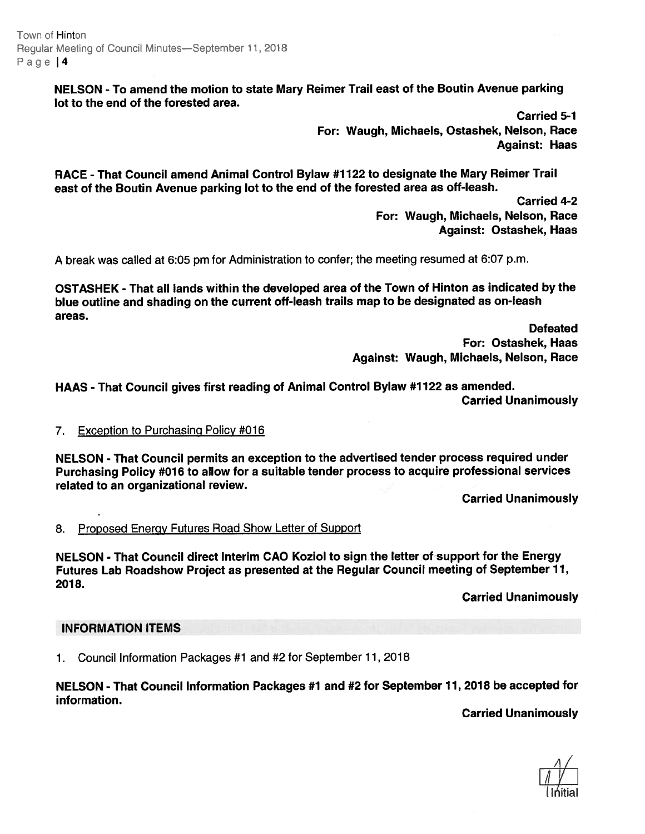Town of Hinton Regular Meeting of Council Minutes—September 11, 2018 Page 14

> NELSON - To amend the motion to state Mary Reimer Trail east of the Boutin Avenue parking lot to the end of the forested area.

> > Carried 5-1 For: Waugh, Michaels, Ostashek, Nelson, Race Against: Haas

RACE -That Council amend Animal Control Bylaw #1122 to designate the Mary Reimer Trail east of the Boutin Avenue parking lot to the end of the forested area as off-leash.

> Carried 4-2 For: Waugh, Michaels, Nelson, Race Against: Ostashek, Haas

<sup>A</sup> break was called at 6:05 pm for Administration to confer; the meeting resumed at 6:07 p.m.

OSTASHEK - That all lands within the developed area of the Town of Hinton as indicated by the blue outline and shading on the current off-leash trails map to be designated as on-leash areas.

> Defeated For: Ostashek, Haas Against: Waugh, Michaels, Nelson, Race

HAAS - That Council <sup>g</sup>ives first reading of Animal Control Bylaw #1722 as amended. Carried Unanimously

### 7. Exception to Purchasing Policy #016

NELSON -That Council permits an exception to the advertised tender process required under Purchasing Policy #016 to allow for <sup>a</sup> suitable tender process to acquire professional services related to an organizational review.

Carried Unanimously

8. Proposed Energy Futures Road Show Letter of Support

NELSON - That Council direct Interim CAO Koziol to sign the letter of suppor<sup>t</sup> for the Energy Futures Lab Roadshow Project as presented at the Regular Council meeting of September 11, 2018.

Carried Unanimously

#### INFORMATION ITEMS

1. Council Information Packages #1 and #2 for September 11, 2018

NELSON - That Council Information Packages #1 and #2 for September 11, <sup>2018</sup> be accepted for information.

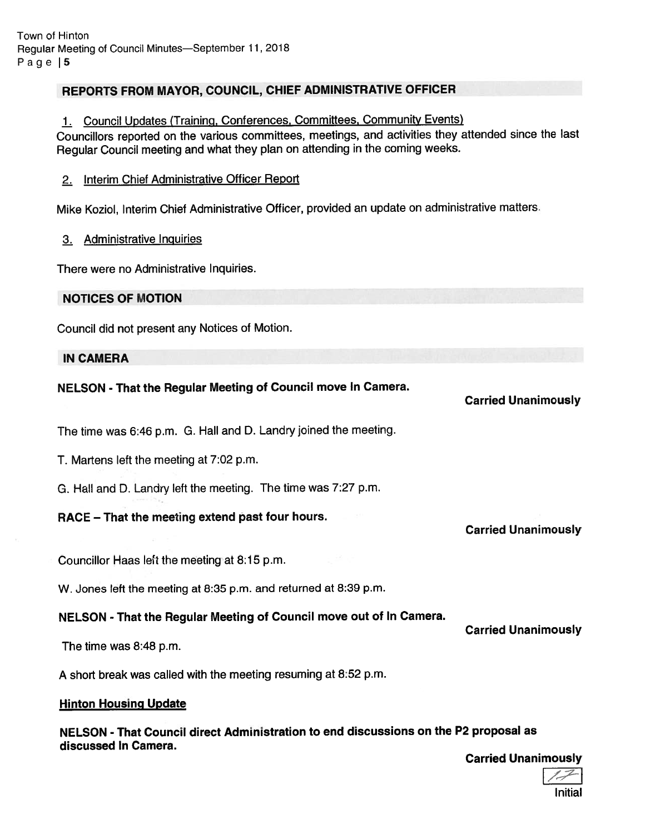## REPORTS FROM MAYOR, COUNCIL, CHIEF ADMINISTRATIVE OFFICER

1. Council Updates (Training, Conferences, Committees, Community Events)

Councillors reported on the various committees, meetings, and activities they attended since the last Regular Council meeting and what they <sup>p</sup>lan on attending in the coming weeks.

### 2. Interim Chief Administrative Officer Report

Mike Koziol, Interim Chief Administrative Officer, provided an update on administrative matters.

### 3. Administrative Inguiries

There were no Administrative Inquiries.

### NOTICES OF MOTION

Council did not presen<sup>t</sup> any Notices of Motion.

### IN CAMERA

## NELSON - That the Regular Meeting of Council move In Camera.

The time was 6:46 p.m. G. Hall and D. Landry joined the meeting.

T. Martens left the meeting at 7:02 p.m.

G. Hall and D. Landry left the meeting. The time was 7:27 p.m.

## RACE — That the meeting extend pas<sup>t</sup> four hours.

Councillor Haas left the meeting at 8:15 p.m.

W. Jones left the meeting at 8:35 p.m. and returned at 8:39 p.m.

## NELSON - That the Regular Meeting of Council move out of In Camera.

The time was 8:48 p.m.

A short break was called with the meeting resuming at 8:52 p.m.

### Hinton Housing Update

NELSON - That Council direct Administration to end discussions on the P2 proposal as discussed In Camera.

Carried Unanimously

Carried Unanimously

Carried Unanimously